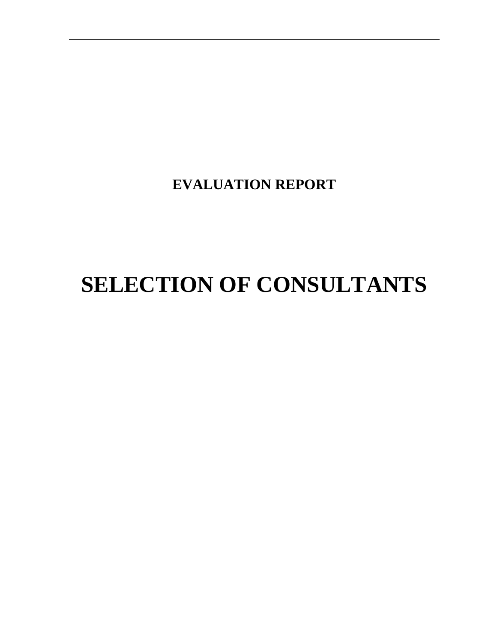**EVALUATION REPORT**

# **SELECTION OF CONSULTANTS**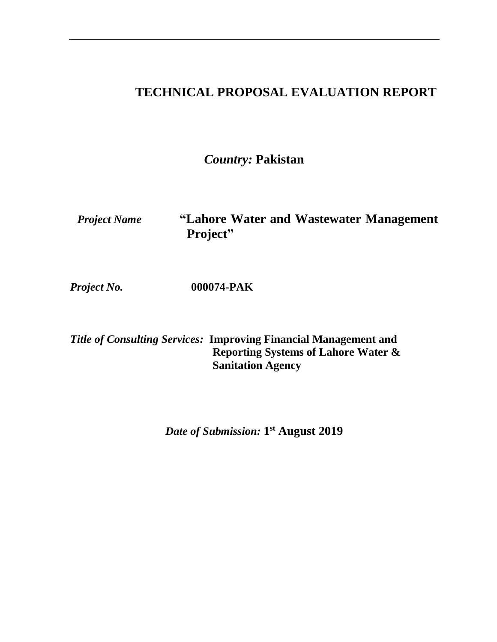### **TECHNICAL PROPOSAL EVALUATION REPORT**

*Country:* **Pakistan**

*Project Name* **"Lahore Water and Wastewater Management Project"**

*Project No.* **000074-PAK**

*Title of Consulting Services:* **Improving Financial Management and Reporting Systems of Lahore Water & Sanitation Agency**

*Date of Submission:* **1 st August 2019**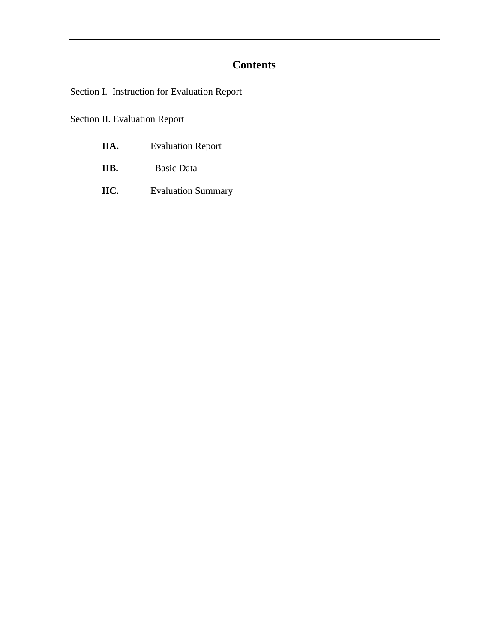### **Contents**

Section I. Instruction for Evaluation Report

Section II. Evaluation Report

| IIA. | <b>Evaluation Report</b> |
|------|--------------------------|
|------|--------------------------|

- **IIB.** Basic Data
- **IIC.** Evaluation Summary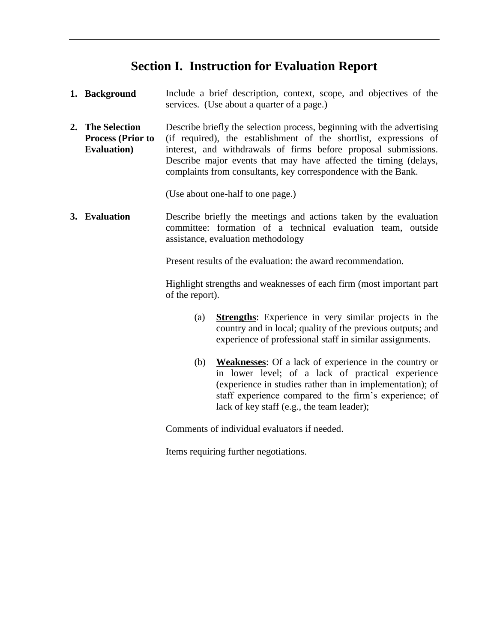### **Section I. Instruction for Evaluation Report**

| 1. Background                                                       | Include a brief description, context, scope, and objectives of the<br>services. (Use about a quarter of a page.)                                                                                                                                                                                                                                     |  |  |  |
|---------------------------------------------------------------------|------------------------------------------------------------------------------------------------------------------------------------------------------------------------------------------------------------------------------------------------------------------------------------------------------------------------------------------------------|--|--|--|
| 2. The Selection<br><b>Process (Prior to</b><br><b>Evaluation</b> ) | Describe briefly the selection process, beginning with the advertising<br>(if required), the establishment of the shortlist, expressions of<br>interest, and withdrawals of firms before proposal submissions.<br>Describe major events that may have affected the timing (delays,<br>complaints from consultants, key correspondence with the Bank. |  |  |  |
|                                                                     | (Use about one-half to one page.)                                                                                                                                                                                                                                                                                                                    |  |  |  |
| 3. Evaluation                                                       | Describe briefly the meetings and actions taken by the evaluation<br>committee: formation of a technical evaluation team, outside<br>assistance, evaluation methodology                                                                                                                                                                              |  |  |  |
|                                                                     | Present results of the evaluation: the award recommendation.                                                                                                                                                                                                                                                                                         |  |  |  |
|                                                                     | Highlight strengths and weaknesses of each firm (most important part)<br>of the report).                                                                                                                                                                                                                                                             |  |  |  |
|                                                                     | <b>Strengths:</b> Experience in very similar projects in the<br>(a)<br>country and in local; quality of the previous outputs; and<br>experience of professional staff in similar assignments.                                                                                                                                                        |  |  |  |
|                                                                     | (b)<br><b>Weaknesses:</b> Of a lack of experience in the country or<br>in lower level; of a lack of practical experience<br>(experience in studies rather than in implementation); of<br>staff experience compared to the firm's experience; of<br>lack of key staff (e.g., the team leader);                                                        |  |  |  |

Comments of individual evaluators if needed.

Items requiring further negotiations.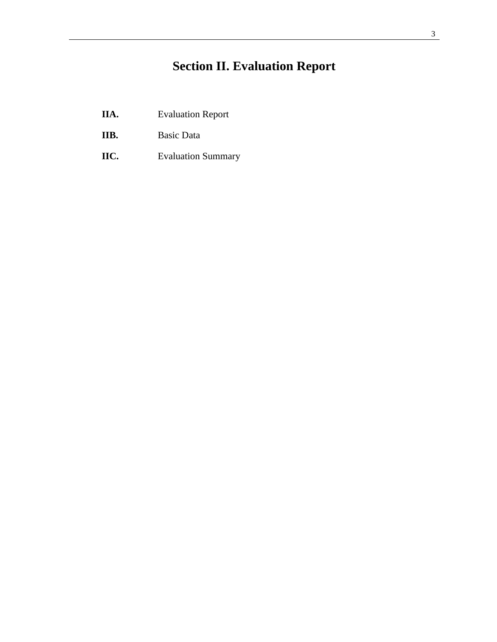# **Section II. Evaluation Report**

- **IIA.** Evaluation Report
- **IIB.** Basic Data
- **IIC.** Evaluation Summary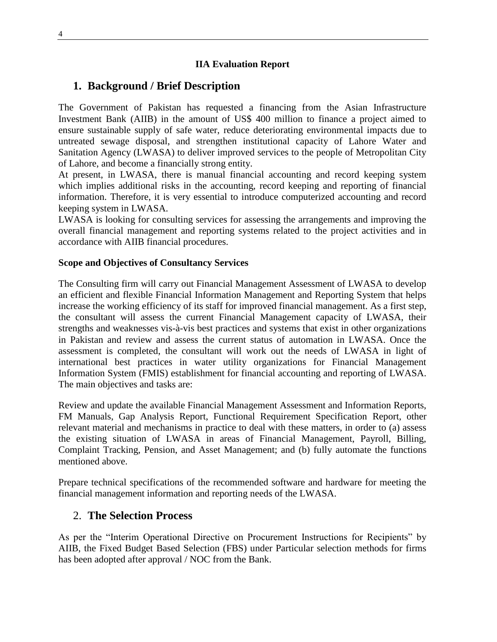#### **IIA Evaluation Report**

#### **1. Background / Brief Description**

The Government of Pakistan has requested a financing from the Asian Infrastructure Investment Bank (AIIB) in the amount of US\$ 400 million to finance a project aimed to ensure sustainable supply of safe water, reduce deteriorating environmental impacts due to untreated sewage disposal, and strengthen institutional capacity of Lahore Water and Sanitation Agency (LWASA) to deliver improved services to the people of Metropolitan City of Lahore, and become a financially strong entity.

At present, in LWASA, there is manual financial accounting and record keeping system which implies additional risks in the accounting, record keeping and reporting of financial information. Therefore, it is very essential to introduce computerized accounting and record keeping system in LWASA.

LWASA is looking for consulting services for assessing the arrangements and improving the overall financial management and reporting systems related to the project activities and in accordance with AIIB financial procedures.

#### **Scope and Objectives of Consultancy Services**

The Consulting firm will carry out Financial Management Assessment of LWASA to develop an efficient and flexible Financial Information Management and Reporting System that helps increase the working efficiency of its staff for improved financial management. As a first step, the consultant will assess the current Financial Management capacity of LWASA, their strengths and weaknesses vis-à-vis best practices and systems that exist in other organizations in Pakistan and review and assess the current status of automation in LWASA. Once the assessment is completed, the consultant will work out the needs of LWASA in light of international best practices in water utility organizations for Financial Management Information System (FMIS) establishment for financial accounting and reporting of LWASA. The main objectives and tasks are:

Review and update the available Financial Management Assessment and Information Reports, FM Manuals, Gap Analysis Report, Functional Requirement Specification Report, other relevant material and mechanisms in practice to deal with these matters, in order to (a) assess the existing situation of LWASA in areas of Financial Management, Payroll, Billing, Complaint Tracking, Pension, and Asset Management; and (b) fully automate the functions mentioned above.

Prepare technical specifications of the recommended software and hardware for meeting the financial management information and reporting needs of the LWASA.

#### 2. **The Selection Process**

As per the "Interim Operational Directive on Procurement Instructions for Recipients" by AIIB, the Fixed Budget Based Selection (FBS) under Particular selection methods for firms has been adopted after approval / NOC from the Bank.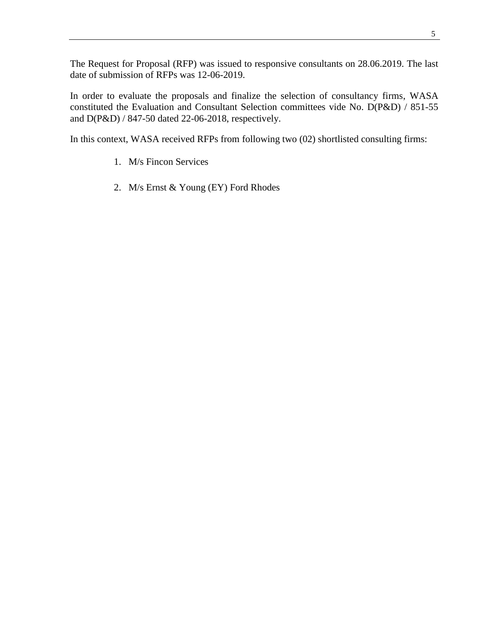The Request for Proposal (RFP) was issued to responsive consultants on 28.06.2019. The last date of submission of RFPs was 12-06-2019.

In order to evaluate the proposals and finalize the selection of consultancy firms, WASA constituted the Evaluation and Consultant Selection committees vide No. D(P&D) / 851-55 and D(P&D) / 847-50 dated 22-06-2018, respectively.

In this context, WASA received RFPs from following two (02) shortlisted consulting firms:

- 1. M/s Fincon Services
- 2. M/s Ernst & Young (EY) Ford Rhodes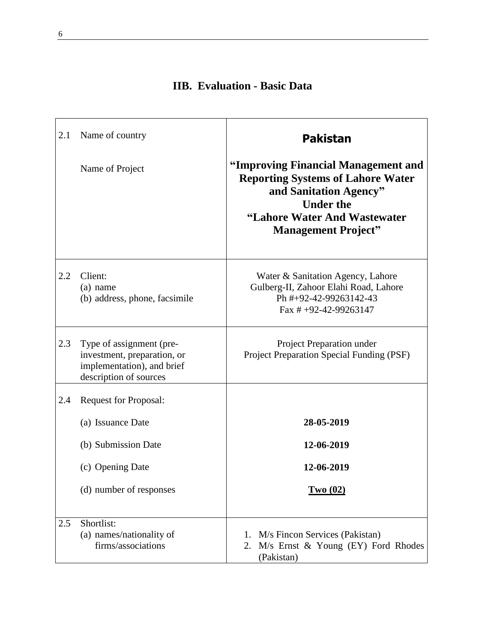| 2.1 | Name of country                                                                                                 | <b>Pakistan</b>                                                                                                                                                                             |  |  |
|-----|-----------------------------------------------------------------------------------------------------------------|---------------------------------------------------------------------------------------------------------------------------------------------------------------------------------------------|--|--|
|     | Name of Project                                                                                                 | "Improving Financial Management and<br><b>Reporting Systems of Lahore Water</b><br>and Sanitation Agency"<br><b>Under the</b><br>"Lahore Water And Wastewater<br><b>Management Project"</b> |  |  |
| 2.2 | Client:<br>$(a)$ name<br>(b) address, phone, facsimile                                                          | Water & Sanitation Agency, Lahore<br>Gulberg-II, Zahoor Elahi Road, Lahore<br>Ph #+92-42-99263142-43<br>Fax $\# +92-42-99263147$                                                            |  |  |
| 2.3 | Type of assignment (pre-<br>investment, preparation, or<br>implementation), and brief<br>description of sources | Project Preparation under<br>Project Preparation Special Funding (PSF)                                                                                                                      |  |  |
| 2.4 | <b>Request for Proposal:</b><br>(a) Issuance Date                                                               | 28-05-2019                                                                                                                                                                                  |  |  |
|     | (b) Submission Date<br>(c) Opening Date<br>(d) number of responses                                              | 12-06-2019<br>12-06-2019<br><u>Two (02)</u>                                                                                                                                                 |  |  |
| 2.5 | Shortlist:<br>(a) names/nationality of<br>firms/associations                                                    | M/s Fincon Services (Pakistan)<br>1.<br>$M/s$ Ernst $\&$ Young (EY) Ford Rhodes<br>2.<br>(Pakistan)                                                                                         |  |  |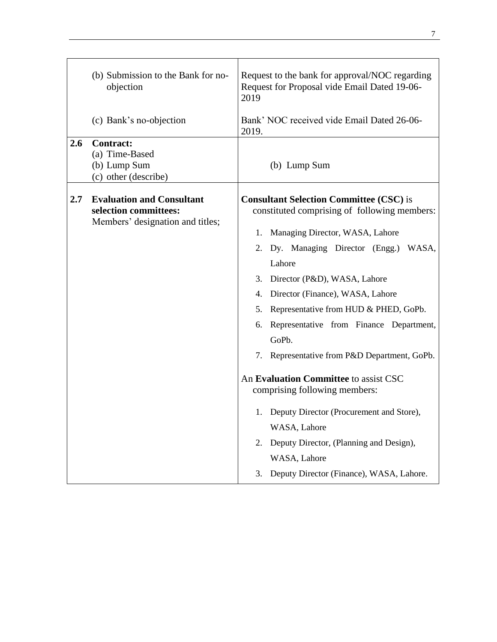|     | (b) Submission to the Bank for no-<br>objection                                               | Request to the bank for approval/NOC regarding<br>Request for Proposal vide Email Dated 19-06-<br>2019 |  |  |
|-----|-----------------------------------------------------------------------------------------------|--------------------------------------------------------------------------------------------------------|--|--|
|     | (c) Bank's no-objection                                                                       | Bank' NOC received vide Email Dated 26-06-<br>2019.                                                    |  |  |
| 2.6 | <b>Contract:</b><br>(a) Time-Based<br>(b) Lump Sum<br>(c) other (describe)                    | (b) Lump Sum                                                                                           |  |  |
| 2.7 | <b>Evaluation and Consultant</b><br>selection committees:<br>Members' designation and titles; | <b>Consultant Selection Committee (CSC) is</b><br>constituted comprising of following members:         |  |  |
|     |                                                                                               | Managing Director, WASA, Lahore<br>1.                                                                  |  |  |
|     |                                                                                               | Dy. Managing Director (Engg.) WASA,<br>2.                                                              |  |  |
|     |                                                                                               | Lahore                                                                                                 |  |  |
|     |                                                                                               | 3. Director (P&D), WASA, Lahore                                                                        |  |  |
|     |                                                                                               | Director (Finance), WASA, Lahore<br>4.                                                                 |  |  |
|     |                                                                                               | Representative from HUD & PHED, GoPb.<br>5.                                                            |  |  |
|     |                                                                                               | Representative from Finance Department,<br>6.                                                          |  |  |
|     |                                                                                               | GoPb.                                                                                                  |  |  |
|     |                                                                                               | 7. Representative from P&D Department, GoPb.                                                           |  |  |
|     |                                                                                               | An Evaluation Committee to assist CSC<br>comprising following members:                                 |  |  |
|     |                                                                                               | 1. Deputy Director (Procurement and Store),                                                            |  |  |
|     |                                                                                               | WASA, Lahore                                                                                           |  |  |
|     |                                                                                               | Deputy Director, (Planning and Design),<br>2.                                                          |  |  |
|     |                                                                                               | WASA, Lahore                                                                                           |  |  |
|     |                                                                                               | Deputy Director (Finance), WASA, Lahore.<br>3.                                                         |  |  |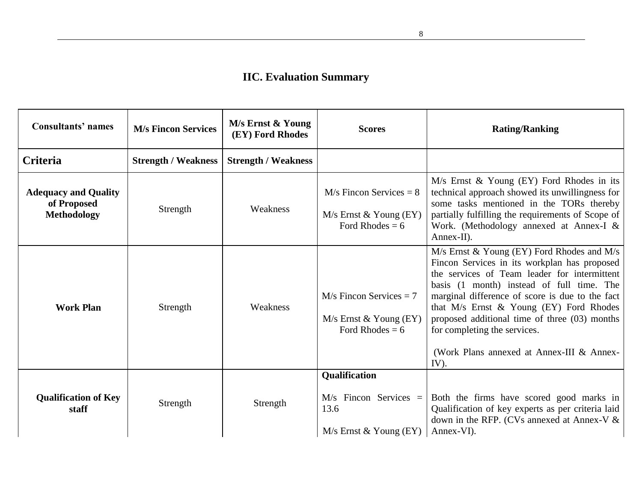## **IIC. Evaluation Summary**

| <b>Consultants' names</b>                                        | <b>M/s Fincon Services</b> | M/s Ernst & Young<br>(EY) Ford Rhodes | <b>Scores</b>                                                                | <b>Rating/Ranking</b>                                                                                                                                                                                                                                                                                                                                                                                                          |
|------------------------------------------------------------------|----------------------------|---------------------------------------|------------------------------------------------------------------------------|--------------------------------------------------------------------------------------------------------------------------------------------------------------------------------------------------------------------------------------------------------------------------------------------------------------------------------------------------------------------------------------------------------------------------------|
| <b>Criteria</b>                                                  | <b>Strength / Weakness</b> | <b>Strength / Weakness</b>            |                                                                              |                                                                                                                                                                                                                                                                                                                                                                                                                                |
| <b>Adequacy and Quality</b><br>of Proposed<br><b>Methodology</b> | Strength                   | Weakness                              | $M/s$ Fincon Services = 8<br>$M/s$ Ernst & Young (EY)<br>Ford Rhodes = $6$   | M/s Ernst & Young (EY) Ford Rhodes in its<br>technical approach showed its unwillingness for<br>some tasks mentioned in the TORs thereby<br>partially fulfilling the requirements of Scope of<br>Work. (Methodology annexed at Annex-I &<br>Annex-II).                                                                                                                                                                         |
| <b>Work Plan</b>                                                 | Strength                   | Weakness                              | $M/s$ Fincon Services = 7<br>$M/s$ Ernst & Young (EY)<br>Ford Rhodes = $6$   | M/s Ernst & Young (EY) Ford Rhodes and M/s<br>Fincon Services in its workplan has proposed<br>the services of Team leader for intermittent<br>basis (1 month) instead of full time. The<br>marginal difference of score is due to the fact<br>that M/s Ernst & Young (EY) Ford Rhodes<br>proposed additional time of three (03) months<br>for completing the services.<br>(Work Plans annexed at Annex-III & Annex-<br>$IV$ ). |
| <b>Qualification of Key</b><br>staff                             | Strength                   | Strength                              | Qualification<br>$M/s$ Fincon Services =<br>13.6<br>$M/s$ Ernst & Young (EY) | Both the firms have scored good marks in<br>Qualification of key experts as per criteria laid<br>down in the RFP. (CVs annexed at Annex-V &<br>Annex-VI).                                                                                                                                                                                                                                                                      |

8